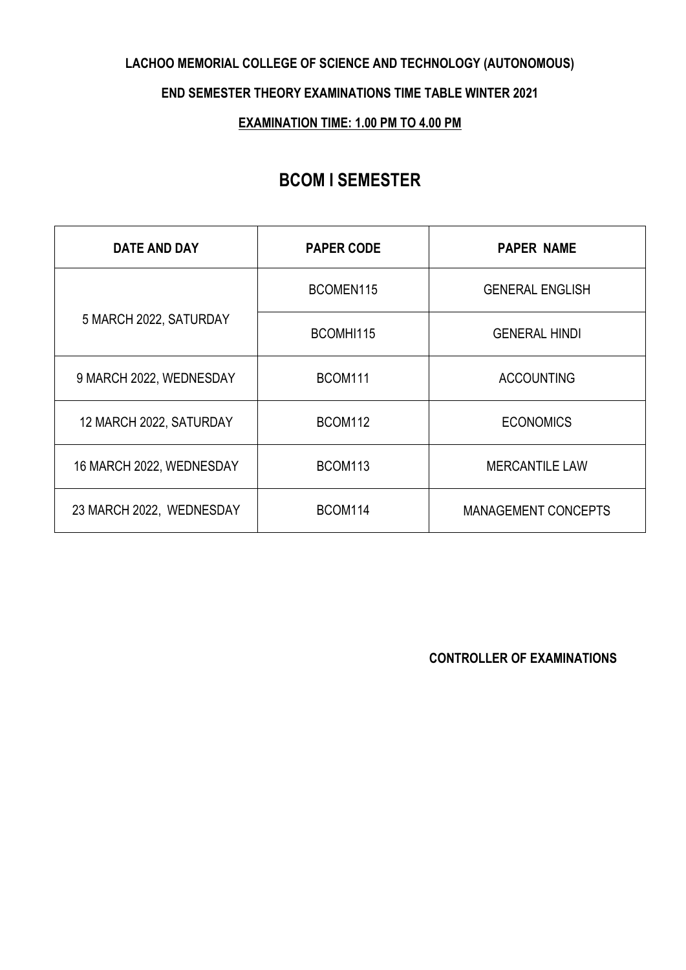### **LACHOO MEMORIAL COLLEGE OF SCIENCE AND TECHNOLOGY (AUTONOMOUS)**

**END SEMESTER THEORY EXAMINATIONS TIME TABLE WINTER 2021**

**EXAMINATION TIME: 1.00 PM TO 4.00 PM**

# **BCOM I SEMESTER**

| DATE AND DAY             | <b>PAPER CODE</b>   | <b>PAPER NAME</b>          |
|--------------------------|---------------------|----------------------------|
| 5 MARCH 2022, SATURDAY   | BCOMEN115           | <b>GENERAL ENGLISH</b>     |
|                          | BCOMHI115           | <b>GENERAL HINDI</b>       |
| 9 MARCH 2022, WEDNESDAY  | BCOM111             | <b>ACCOUNTING</b>          |
| 12 MARCH 2022, SATURDAY  | BCOM112             | <b>ECONOMICS</b>           |
| 16 MARCH 2022, WEDNESDAY | BCOM <sub>113</sub> | <b>MERCANTILE LAW</b>      |
| 23 MARCH 2022, WEDNESDAY | BCOM114             | <b>MANAGEMENT CONCEPTS</b> |

**CONTROLLER OF EXAMINATIONS**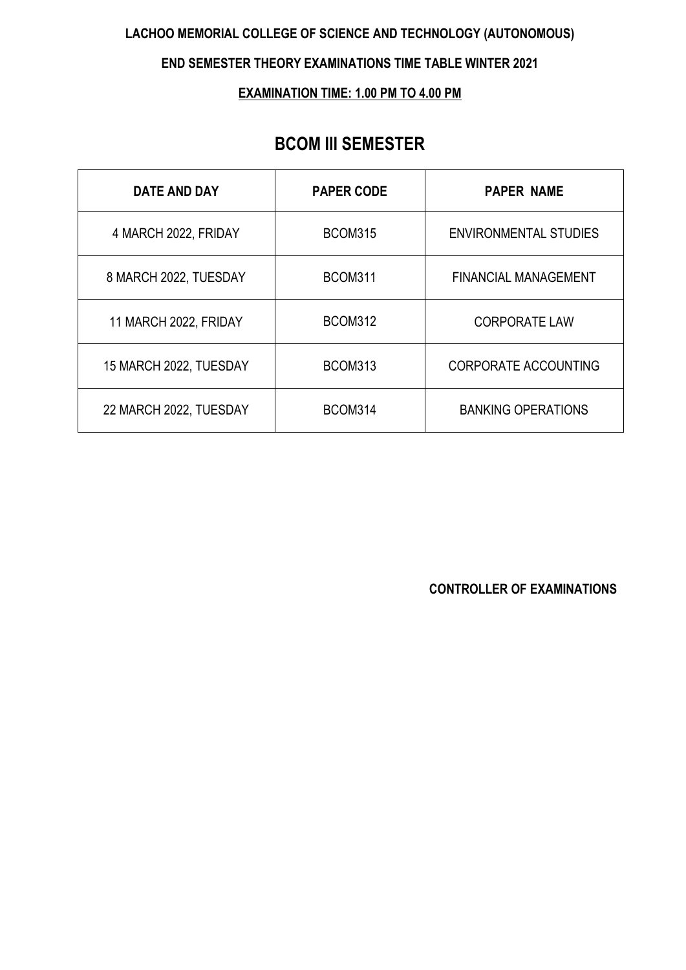### **LACHOO MEMORIAL COLLEGE OF SCIENCE AND TECHNOLOGY (AUTONOMOUS)**

#### **END SEMESTER THEORY EXAMINATIONS TIME TABLE WINTER 2021**

#### **EXAMINATION TIME: 1.00 PM TO 4.00 PM**

## **BCOM III SEMESTER**

| DATE AND DAY           | <b>PAPER CODE</b> | <b>PAPER NAME</b>            |
|------------------------|-------------------|------------------------------|
| 4 MARCH 2022, FRIDAY   | <b>BCOM315</b>    | <b>ENVIRONMENTAL STUDIES</b> |
| 8 MARCH 2022, TUESDAY  | <b>BCOM311</b>    | <b>FINANCIAL MANAGEMENT</b>  |
| 11 MARCH 2022, FRIDAY  | <b>BCOM312</b>    | <b>CORPORATE LAW</b>         |
| 15 MARCH 2022, TUESDAY | BCOM313           | <b>CORPORATE ACCOUNTING</b>  |
| 22 MARCH 2022, TUESDAY | BCOM314           | <b>BANKING OPERATIONS</b>    |

### **CONTROLLER OF EXAMINATIONS**